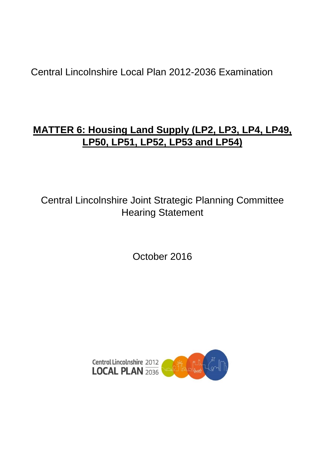# Central Lincolnshire Local Plan 2012-2036 Examination

# **MATTER 6: Housing Land Supply (LP2, LP3, LP4, LP49, LP50, LP51, LP52, LP53 and LP54)**

Central Lincolnshire Joint Strategic Planning Committee Hearing Statement

October 2016

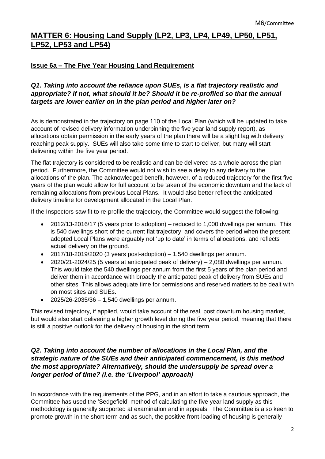# **MATTER 6: Housing Land Supply (LP2, LP3, LP4, LP49, LP50, LP51, LP52, LP53 and LP54)**

# **Issue 6a – The Five Year Housing Land Requirement**

# *Q1. Taking into account the reliance upon SUEs, is a flat trajectory realistic and appropriate? If not, what should it be? Should it be re-profiled so that the annual targets are lower earlier on in the plan period and higher later on?*

As is demonstrated in the trajectory on page 110 of the Local Plan (which will be updated to take account of revised delivery information underpinning the five year land supply report), as allocations obtain permission in the early years of the plan there will be a slight lag with delivery reaching peak supply. SUEs will also take some time to start to deliver, but many will start delivering within the five year period.

The flat trajectory is considered to be realistic and can be delivered as a whole across the plan period. Furthermore, the Committee would not wish to see a delay to any delivery to the allocations of the plan. The acknowledged benefit, however, of a reduced trajectory for the first five years of the plan would allow for full account to be taken of the economic downturn and the lack of remaining allocations from previous Local Plans. It would also better reflect the anticipated delivery timeline for development allocated in the Local Plan.

If the Inspectors saw fit to re-profile the trajectory, the Committee would suggest the following:

- 2012/13-2016/17 (5 years prior to adoption) reduced to 1,000 dwellings per annum. This is 540 dwellings short of the current flat trajectory, and covers the period when the present adopted Local Plans were arguably not 'up to date' in terms of allocations, and reflects actual delivery on the ground.
- $\bullet$  2017/18-2019/2020 (3 years post-adoption) 1,540 dwellings per annum.
- 2020/21-2024/25 (5 years at anticipated peak of delivery) 2,080 dwellings per annum. This would take the 540 dwellings per annum from the first 5 years of the plan period and deliver them in accordance with broadly the anticipated peak of delivery from SUEs and other sites. This allows adequate time for permissions and reserved matters to be dealt with on most sites and SUEs.
- 2025/26-2035/36 1,540 dwellings per annum.

This revised trajectory, if applied, would take account of the real, post downturn housing market, but would also start delivering a higher growth level during the five year period, meaning that there is still a positive outlook for the delivery of housing in the short term.

#### *Q2. Taking into account the number of allocations in the Local Plan, and the strategic nature of the SUEs and their anticipated commencement, is this method the most appropriate? Alternatively, should the undersupply be spread over a longer period of time? (i.e. the 'Liverpool' approach)*

In accordance with the requirements of the PPG, and in an effort to take a cautious approach, the Committee has used the 'Sedgefield' method of calculating the five year land supply as this methodology is generally supported at examination and in appeals. The Committee is also keen to promote growth in the short term and as such, the positive front-loading of housing is generally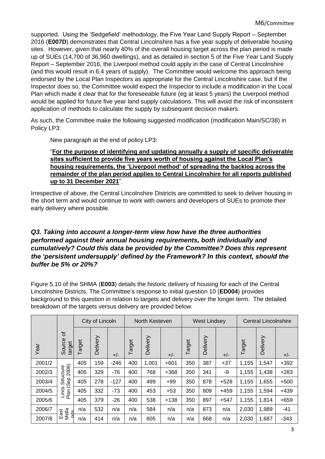supported. Using the 'Sedgefield' methodology, the Five Year Land Supply Report – September 2016 (**E007D**) demonstrates that Central Lincolnshire has a five year supply of deliverable housing sites. However, given that nearly 40% of the overall housing target across the plan period is made up of SUEs (14,700 of 36,960 dwellings), and as detailed in section 5 of the Five Year Land Supply Report – September 2016, the Liverpool method could apply in the case of Central Lincolnshire (and this would result in 6.4 years of supply). The Committee would welcome this approach being endorsed by the Local Plan Inspectors as appropriate for the Central Lincolnshire case, but if the Inspector does so, the Committee would expect the Inspector to include a modification in the Local Plan which made it clear that for the foreseeable future (eg at least 5 years) the Liverpool method would be applied for future five year land supply calculations. This will avoid the risk of inconsistent application of methods to calculate the supply by subsequent decision makers.

As such, the Committee make the following suggested modification (modification Main/SC/38) in Policy LP3:

New paragraph at the end of policy LP3:

#### "**For the purpose of identifying and updating annually a supply of specific deliverable sites sufficient to provide five years worth of housing against the Local Plan's housing requirements, the 'Liverpool method' of spreading the backlog across the remainder of the plan period applies to Central Lincolnshire for all reports published up to 31 December 2021**".

Irrespective of above, the Central Lincolnshire Districts are committed to seek to deliver housing in the short term and would continue to work with owners and developers of SUEs to promote their early delivery where possible.

# *Q3. Taking into account a longer-term view how have the three authorities performed against their annual housing requirements, both individually and cumulatively? Could this data be provided by the Committee? Does this represent the 'persistent undersupply' defined by the Framework? In this context, should the buffer be 5% or 20%?*

Figure 5.10 of the SHMA (**E003**) details the historic delivery of housing for each of the Central Lincolnshire Districts. The Committee's response to initial question 10 (**ED004**) provides background to this question in relation to targets and delivery over the longer term. The detailed breakdown of the targets versus delivery are provided below.

|        |                                                         | City of Lincoln |          |        | North Kesteven |          |        | <b>West Lindsey</b> |          |        | <b>Central Lincolnshire</b> |          |        |
|--------|---------------------------------------------------------|-----------------|----------|--------|----------------|----------|--------|---------------------|----------|--------|-----------------------------|----------|--------|
| Year   | ৳<br>Source<br>target                                   | Target          | Delivery | $+/-$  | Target         | Delivery | $+/-$  | Target              | Delivery | $+/-$  | Target                      | Delivery | $+/-$  |
| 2001/2 | 2006)<br>cture<br>$rac{5}{25}$<br>(Sep<br>Lincs<br>Plan | 405             | 159      | $-246$ | 400            | 1,001    | $+601$ | 350                 | 387      | $+37$  | 1,155                       | 1,547    | $+392$ |
| 2002/3 |                                                         | 405             | 329      | $-76$  | 400            | 768      | $+368$ | 350                 | 341      | -9     | 1,155                       | 1,438    | $+283$ |
| 2003/4 |                                                         | 405             | 278      | $-127$ | 400            | 499      | $+99$  | 350                 | 878      | $+528$ | 1,155                       | 1,655    | $+500$ |
| 2004/5 |                                                         | 405             | 332      | $-73$  | 400            | 453      | $+53$  | 350                 | 809      | $+459$ | 1,155                       | 1,594    | $+439$ |
| 2005/6 |                                                         | 405             | 379      | $-26$  | 400            | 538      | $+138$ | 350                 | 897      | $+547$ | 1,155                       | 1,814    | $+659$ |
| 2006/7 | Midla<br>East                                           | n/a             | 532      | n/a    | n/a            | 584      | n/a    | n/a                 | 873      | n/a    | 2,030                       | 1,989    | -41    |
| 2007/8 | ่า                                                      | n/a             | 414      | n/a    | n/a            | 605      | n/a    | n/a                 | 668      | n/a    | 2,030                       | 1,687    | $-343$ |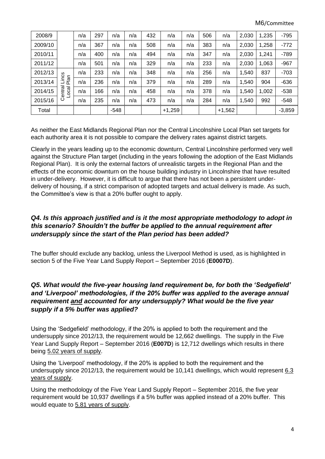M6/Committee

| 2008/9  |                                            | n/a | 297 | n/a    | n/a | 432 | n/a      | n/a | 506 | n/a      | 2,030 | 1,235 | $-795$   |
|---------|--------------------------------------------|-----|-----|--------|-----|-----|----------|-----|-----|----------|-------|-------|----------|
| 2009/10 | w<br>ن<br>آ<br>Plan<br>entral<br>ocal<br>ပ | n/a | 367 | n/a    | n/a | 508 | n/a      | n/a | 383 | n/a      | 2,030 | 1,258 | $-772$   |
| 2010/11 |                                            | n/a | 400 | n/a    | n/a | 494 | n/a      | n/a | 347 | n/a      | 2,030 | 1,241 | $-789$   |
| 2011/12 |                                            | n/a | 501 | n/a    | n/a | 329 | n/a      | n/a | 233 | n/a      | 2,030 | 1,063 | $-967$   |
| 2012/13 |                                            | n/a | 233 | n/a    | n/a | 348 | n/a      | n/a | 256 | n/a      | 1,540 | 837   | $-703$   |
| 2013/14 |                                            | n/a | 236 | n/a    | n/a | 379 | n/a      | n/a | 289 | n/a      | 1,540 | 904   | $-636$   |
| 2014/15 |                                            | n/a | 166 | n/a    | n/a | 458 | n/a      | n/a | 378 | n/a      | 1,540 | 1,002 | $-538$   |
| 2015/16 |                                            | n/a | 235 | n/a    | n/a | 473 | n/a      | n/a | 284 | n/a      | 1,540 | 992   | $-548$   |
| Total   |                                            |     |     | $-548$ |     |     | $+1,259$ |     |     | $+1,562$ |       |       | $-3,859$ |

As neither the East Midlands Regional Plan nor the Central Lincolnshire Local Plan set targets for each authority area it is not possible to compare the delivery rates against district targets.

Clearly in the years leading up to the economic downturn, Central Lincolnshire performed very well against the Structure Plan target (including in the years following the adoption of the East Midlands Regional Plan). It is only the external factors of unrealistic targets in the Regional Plan and the effects of the economic downturn on the house building industry in Lincolnshire that have resulted in under-delivery. However, it is difficult to argue that there has not been a persistent underdelivery of housing, if a strict comparison of adopted targets and actual delivery is made. As such, the Committee's view is that a 20% buffer ought to apply.

# *Q4. Is this approach justified and is it the most appropriate methodology to adopt in this scenario? Shouldn't the buffer be applied to the annual requirement after undersupply since the start of the Plan period has been added?*

The buffer should exclude any backlog, unless the Liverpool Method is used, as is highlighted in section 5 of the Five Year Land Supply Report – September 2016 (**E0007D**).

#### *Q5. What would the five-year housing land requirement be, for both the 'Sedgefield' and 'Liverpool' methodologies, if the 20% buffer was applied to the average annual requirement and accounted for any undersupply? What would be the five year supply if a 5% buffer was applied?*

Using the 'Sedgefield' methodology, if the 20% is applied to both the requirement and the undersupply since 2012/13, the requirement would be 12,662 dwellings. The supply in the Five Year Land Supply Report – September 2016 (**E007D**) is 12,712 dwellings which results in there being 5.02 years of supply.

Using the 'Liverpool' methodology, if the 20% is applied to both the requirement and the undersupply since 2012/13, the requirement would be 10,141 dwellings, which would represent 6.3 years of supply.

Using the methodology of the Five Year Land Supply Report – September 2016, the five year requirement would be 10,937 dwellings if a 5% buffer was applied instead of a 20% buffer. This would equate to 5.81 years of supply.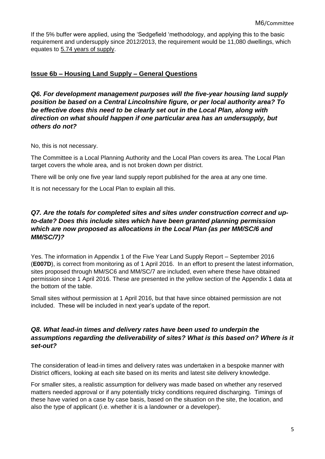If the 5% buffer were applied, using the 'Sedgefield 'methodology, and applying this to the basic requirement and undersupply since 2012/2013, the requirement would be 11,080 dwellings, which equates to 5.74 years of supply.

#### **Issue 6b – Housing Land Supply – General Questions**

*Q6. For development management purposes will the five-year housing land supply position be based on a Central Lincolnshire figure, or per local authority area? To be effective does this need to be clearly set out in the Local Plan, along with direction on what should happen if one particular area has an undersupply, but others do not?*

No, this is not necessary.

The Committee is a Local Planning Authority and the Local Plan covers its area. The Local Plan target covers the whole area, and is not broken down per district.

There will be only one five year land supply report published for the area at any one time.

It is not necessary for the Local Plan to explain all this.

#### *Q7. Are the totals for completed sites and sites under construction correct and upto-date? Does this include sites which have been granted planning permission which are now proposed as allocations in the Local Plan (as per MM/SC/6 and MM/SC/7)?*

Yes. The information in Appendix 1 of the Five Year Land Supply Report – September 2016 (**E007D**), is correct from monitoring as of 1 April 2016. In an effort to present the latest information, sites proposed through MM/SC6 and MM/SC/7 are included, even where these have obtained permission since 1 April 2016. These are presented in the yellow section of the Appendix 1 data at the bottom of the table.

Small sites without permission at 1 April 2016, but that have since obtained permission are not included. These will be included in next year's update of the report.

#### *Q8. What lead-in times and delivery rates have been used to underpin the assumptions regarding the deliverability of sites? What is this based on? Where is it set-out?*

The consideration of lead-in times and delivery rates was undertaken in a bespoke manner with District officers, looking at each site based on its merits and latest site delivery knowledge.

For smaller sites, a realistic assumption for delivery was made based on whether any reserved matters needed approval or if any potentially tricky conditions required discharging. Timings of these have varied on a case by case basis, based on the situation on the site, the location, and also the type of applicant (i.e. whether it is a landowner or a developer).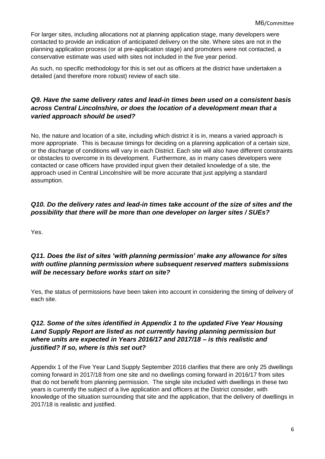For larger sites, including allocations not at planning application stage, many developers were contacted to provide an indication of anticipated delivery on the site. Where sites are not in the planning application process (or at pre-application stage) and promoters were not contacted, a conservative estimate was used with sites not included in the five year period.

As such, no specific methodology for this is set out as officers at the district have undertaken a detailed (and therefore more robust) review of each site.

#### *Q9. Have the same delivery rates and lead-in times been used on a consistent basis across Central Lincolnshire, or does the location of a development mean that a varied approach should be used?*

No, the nature and location of a site, including which district it is in, means a varied approach is more appropriate. This is because timings for deciding on a planning application of a certain size, or the discharge of conditions will vary in each District. Each site will also have different constraints or obstacles to overcome in its development. Furthermore, as in many cases developers were contacted or case officers have provided input given their detailed knowledge of a site, the approach used in Central Lincolnshire will be more accurate that just applying a standard assumption.

#### *Q10. Do the delivery rates and lead-in times take account of the size of sites and the possibility that there will be more than one developer on larger sites / SUEs?*

Yes.

#### *Q11. Does the list of sites 'with planning permission' make any allowance for sites with outline planning permission where subsequent reserved matters submissions will be necessary before works start on site?*

Yes, the status of permissions have been taken into account in considering the timing of delivery of each site.

#### *Q12. Some of the sites identified in Appendix 1 to the updated Five Year Housing Land Supply Report are listed as not currently having planning permission but where units are expected in Years 2016/17 and 2017/18 – is this realistic and justified? If so, where is this set out?*

Appendix 1 of the Five Year Land Supply September 2016 clarifies that there are only 25 dwellings coming forward in 2017/18 from one site and no dwellings coming forward in 2016/17 from sites that do not benefit from planning permission. The single site included with dwellings in these two years is currently the subject of a live application and officers at the District consider, with knowledge of the situation surrounding that site and the application, that the delivery of dwellings in 2017/18 is realistic and justified.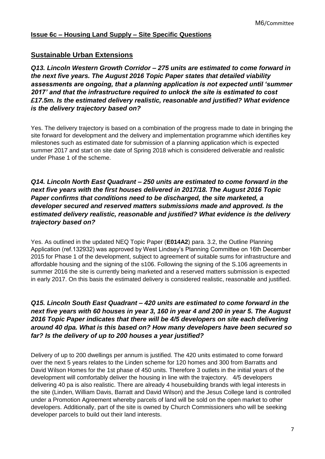#### **Issue 6c – Housing Land Supply – Site Specific Questions**

# **Sustainable Urban Extensions**

*Q13. Lincoln Western Growth Corridor – 275 units are estimated to come forward in the next five years. The August 2016 Topic Paper states that detailed viability assessments are ongoing, that a planning application is not expected until 'summer 2017' and that the infrastructure required to unlock the site is estimated to cost £17.5m. Is the estimated delivery realistic, reasonable and justified? What evidence is the delivery trajectory based on?* 

Yes. The delivery trajectory is based on a combination of the progress made to date in bringing the site forward for development and the delivery and implementation programme which identifies key milestones such as estimated date for submission of a planning application which is expected summer 2017 and start on site date of Spring 2018 which is considered deliverable and realistic under Phase 1 of the scheme.

#### *Q14. Lincoln North East Quadrant – 250 units are estimated to come forward in the next five years with the first houses delivered in 2017/18. The August 2016 Topic Paper confirms that conditions need to be discharged, the site marketed, a developer secured and reserved matters submissions made and approved. Is the estimated delivery realistic, reasonable and justified? What evidence is the delivery trajectory based on?*

Yes. As outlined in the updated NEQ Topic Paper (**E014A2**) para. 3.2, the Outline Planning Application (ref.132932) was approved by West Lindsey's Planning Committee on 16th December 2015 for Phase 1 of the development, subject to agreement of suitable sums for infrastructure and affordable housing and the signing of the s106. Following the signing of the S.106 agreements in summer 2016 the site is currently being marketed and a reserved matters submission is expected in early 2017. On this basis the estimated delivery is considered realistic, reasonable and justified.

# *Q15. Lincoln South East Quadrant – 420 units are estimated to come forward in the next five years with 60 houses in year 3, 160 in year 4 and 200 in year 5. The August 2016 Topic Paper indicates that there will be 4/5 developers on site each delivering around 40 dpa. What is this based on? How many developers have been secured so far? Is the delivery of up to 200 houses a year justified?*

Delivery of up to 200 dwellings per annum is justified. The 420 units estimated to come forward over the next 5 years relates to the Linden scheme for 120 homes and 300 from Barratts and David Wilson Homes for the 1st phase of 450 units. Therefore 3 outlets in the initial years of the development will comfortably deliver the housing in line with the trajectory. 4/5 developers delivering 40 pa is also realistic. There are already 4 housebuilding brands with legal interests in the site (Linden, William Davis, Barratt and David Wilson) and the Jesus College land is controlled under a Promotion Agreement whereby parcels of land will be sold on the open market to other developers. Additionally, part of the site is owned by Church Commissioners who will be seeking developer parcels to build out their land interests.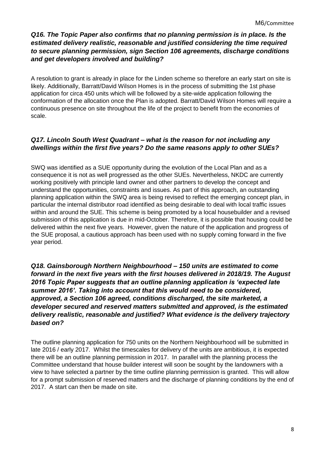# *Q16. The Topic Paper also confirms that no planning permission is in place. Is the estimated delivery realistic, reasonable and justified considering the time required to secure planning permission, sign Section 106 agreements, discharge conditions and get developers involved and building?*

A resolution to grant is already in place for the Linden scheme so therefore an early start on site is likely. Additionally, Barratt/David Wilson Homes is in the process of submitting the 1st phase application for circa 450 units which will be followed by a site-wide application following the conformation of the allocation once the Plan is adopted. Barratt/David Wilson Homes will require a continuous presence on site throughout the life of the project to benefit from the economies of scale.

# *Q17. Lincoln South West Quadrant – what is the reason for not including any dwellings within the first five years? Do the same reasons apply to other SUEs?*

SWQ was identified as a SUE opportunity during the evolution of the Local Plan and as a consequence it is not as well progressed as the other SUEs. Nevertheless, NKDC are currently working positively with principle land owner and other partners to develop the concept and understand the opportunities, constraints and issues. As part of this approach, an outstanding planning application within the SWQ area is being revised to reflect the emerging concept plan, in particular the internal distributor road identified as being desirable to deal with local traffic issues within and around the SUE. This scheme is being promoted by a local housebuilder and a revised submission of this application is due in mid-October. Therefore, it is possible that housing could be delivered within the next five years. However, given the nature of the application and progress of the SUE proposal, a cautious approach has been used with no supply coming forward in the five year period.

### *Q18. Gainsborough Northern Neighbourhood – 150 units are estimated to come forward in the next five years with the first houses delivered in 2018/19. The August 2016 Topic Paper suggests that an outline planning application is 'expected late summer 2016'. Taking into account that this would need to be considered, approved, a Section 106 agreed, conditions discharged, the site marketed, a developer secured and reserved matters submitted and approved, is the estimated delivery realistic, reasonable and justified? What evidence is the delivery trajectory based on?*

The outline planning application for 750 units on the Northern Neighbourhood will be submitted in late 2016 / early 2017. Whilst the timescales for delivery of the units are ambitious, it is expected there will be an outline planning permission in 2017. In parallel with the planning process the Committee understand that house builder interest will soon be sought by the landowners with a view to have selected a partner by the time outline planning permission is granted. This will allow for a prompt submission of reserved matters and the discharge of planning conditions by the end of 2017. A start can then be made on site.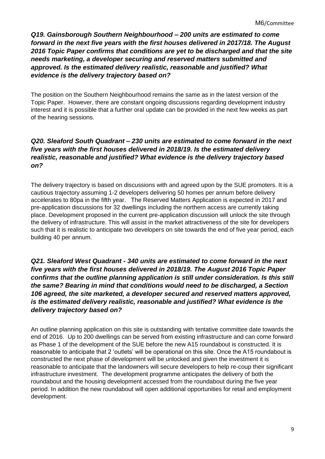*Q19. Gainsborough Southern Neighbourhood – 200 units are estimated to come forward in the next five years with the first houses delivered in 2017/18. The August 2016 Topic Paper confirms that conditions are yet to be discharged and that the site needs marketing, a developer securing and reserved matters submitted and approved. Is the estimated delivery realistic, reasonable and justified? What evidence is the delivery trajectory based on?*

The position on the Southern Neighbourhood remains the same as in the latest version of the Topic Paper. However, there are constant ongoing discussions regarding development industry interest and it is possible that a further oral update can be provided in the next few weeks as part of the hearing sessions.

# *Q20. Sleaford South Quadrant – 230 units are estimated to come forward in the next five years with the first houses delivered in 2018/19. Is the estimated delivery realistic, reasonable and justified? What evidence is the delivery trajectory based on?*

The delivery trajectory is based on discussions with and agreed upon by the SUE promoters. It is a cautious trajectory assuming 1-2 developers delivering 50 homes per annum before delivery accelerates to 80pa in the fifth year. The Reserved Matters Application is expected in 2017 and pre-application discussions for 32 dwellings including the northern access are currently taking place. Development proposed in the current pre-application discussion will unlock the site through the delivery of infrastructure. This will assist in the market attractiveness of the site for developers such that it is realistic to anticipate two developers on site towards the end of five year period, each building 40 per annum.

# *Q21. Sleaford West Quadrant - 340 units are estimated to come forward in the next five years with the first houses delivered in 2018/19. The August 2016 Topic Paper confirms that the outline planning application is still under consideration. Is this still the same? Bearing in mind that conditions would need to be discharged, a Section 106 agreed, the site marketed, a developer secured and reserved matters approved, is the estimated delivery realistic, reasonable and justified? What evidence is the delivery trajectory based on?*

An outline planning application on this site is outstanding with tentative committee date towards the end of 2016. Up to 200 dwellings can be served from existing infrastructure and can come forward as Phase 1 of the development of the SUE before the new A15 roundabout is constructed. It is reasonable to anticipate that 2 'outlets' will be operational on this site. Once the A15 roundabout is constructed the next phase of development will be unlocked and given the investment it is reasonable to anticipate that the landowners will secure developers to help re-coup their significant infrastructure investment. The development programme anticipates the delivery of both the roundabout and the housing development accessed from the roundabout during the five year period. In addition the new roundabout will open additional opportunities for retail and employment development.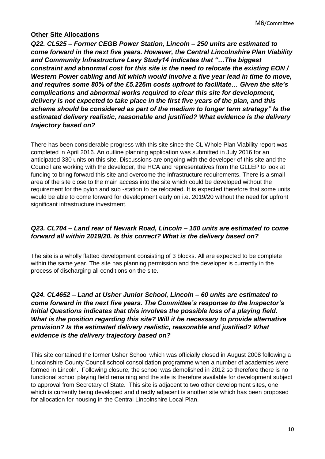### **Other Site Allocations**

*Q22. CL525 – Former CEGB Power Station, Lincoln – 250 units are estimated to come forward in the next five years. However, the Central Lincolnshire Plan Viability and Community Infrastructure Levy Study14 indicates that "…The biggest constraint and abnormal cost for this site is the need to relocate the existing EON / Western Power cabling and kit which would involve a five year lead in time to move, and requires some 80% of the £5.226m costs upfront to facilitate… Given the site's complications and abnormal works required to clear this site for development, delivery is not expected to take place in the first five years of the plan, and this scheme should be considered as part of the medium to longer term strategy" Is the estimated delivery realistic, reasonable and justified? What evidence is the delivery trajectory based on?*

There has been considerable progress with this site since the CL Whole Plan Viability report was completed in April 2016. An outline planning application was submitted in July 2016 for an anticipated 330 units on this site. Discussions are ongoing with the developer of this site and the Council are working with the developer, the HCA and representatives from the GLLEP to look at funding to bring forward this site and overcome the infrastructure requirements. There is a small area of the site close to the main access into the site which could be developed without the requirement for the pylon and sub -station to be relocated. It is expected therefore that some units would be able to come forward for development early on i.e. 2019/20 without the need for upfront significant infrastructure investment.

# *Q23. CL704 – Land rear of Newark Road, Lincoln – 150 units are estimated to come forward all within 2019/20. Is this correct? What is the delivery based on?*

The site is a wholly flatted development consisting of 3 blocks. All are expected to be complete within the same year. The site has planning permission and the developer is currently in the process of discharging all conditions on the site.

# *Q24. CL4652 – Land at Usher Junior School, Lincoln – 60 units are estimated to come forward in the next five years. The Committee's response to the Inspector's Initial Questions indicates that this involves the possible loss of a playing field. What is the position regarding this site? Will it be necessary to provide alternative provision? Is the estimated delivery realistic, reasonable and justified? What evidence is the delivery trajectory based on?*

This site contained the former Usher School which was officially closed in August 2008 following a Lincolnshire County Council school consolidation programme when a number of academies were formed in Lincoln. Following closure, the school was demolished in 2012 so therefore there is no functional school playing field remaining and the site is therefore available for development subject to approval from Secretary of State. This site is adjacent to two other development sites, one which is currently being developed and directly adjacent is another site which has been proposed for allocation for housing in the Central Lincolnshire Local Plan.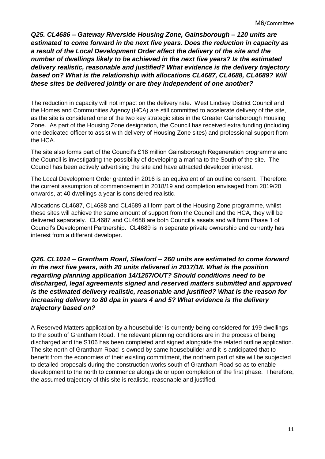*Q25. CL4686 – Gateway Riverside Housing Zone, Gainsborough – 120 units are estimated to come forward in the next five years. Does the reduction in capacity as a result of the Local Development Order affect the delivery of the site and the number of dwellings likely to be achieved in the next five years? Is the estimated delivery realistic, reasonable and justified? What evidence is the delivery trajectory based on? What is the relationship with allocations CL4687, CL4688, CL4689? Will these sites be delivered jointly or are they independent of one another?*

The reduction in capacity will not impact on the delivery rate. West Lindsey District Council and the Homes and Communities Agency (HCA) are still committed to accelerate delivery of the site, as the site is considered one of the two key strategic sites in the Greater Gainsborough Housing Zone. As part of the Housing Zone designation, the Council has received extra funding (including one dedicated officer to assist with delivery of Housing Zone sites) and professional support from the HCA.

The site also forms part of the Council's £18 million Gainsborough Regeneration programme and the Council is investigating the possibility of developing a marina to the South of the site. The Council has been actively advertising the site and have attracted developer interest.

The Local Development Order granted in 2016 is an equivalent of an outline consent. Therefore, the current assumption of commencement in 2018/19 and completion envisaged from 2019/20 onwards, at 40 dwellings a year is considered realistic.

Allocations CL4687, CL4688 and CL4689 all form part of the Housing Zone programme, whilst these sites will achieve the same amount of support from the Council and the HCA, they will be delivered separately. CL4687 and CL4688 are both Council's assets and will form Phase 1 of Council's Development Partnership. CL4689 is in separate private ownership and currently has interest from a different developer.

*Q26. CL1014 – Grantham Road, Sleaford – 260 units are estimated to come forward in the next five years, with 20 units delivered in 2017/18. What is the position regarding planning application 14/1257/OUT? Should conditions need to be discharged, legal agreements signed and reserved matters submitted and approved is the estimated delivery realistic, reasonable and justified? What is the reason for increasing delivery to 80 dpa in years 4 and 5? What evidence is the delivery trajectory based on?*

A Reserved Matters application by a housebuilder is currently being considered for 199 dwellings to the south of Grantham Road. The relevant planning conditions are in the process of being discharged and the S106 has been completed and signed alongside the related outline application. The site north of Grantham Road is owned by same housebuilder and it is anticipated that to benefit from the economies of their existing commitment, the northern part of site will be subjected to detailed proposals during the construction works south of Grantham Road so as to enable development to the north to commence alongside or upon completion of the first phase. Therefore, the assumed trajectory of this site is realistic, reasonable and justified.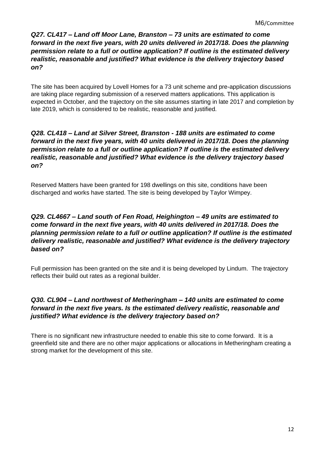#### *Q27. CL417 – Land off Moor Lane, Branston – 73 units are estimated to come forward in the next five years, with 20 units delivered in 2017/18. Does the planning permission relate to a full or outline application? If outline is the estimated delivery realistic, reasonable and justified? What evidence is the delivery trajectory based on?*

The site has been acquired by Lovell Homes for a 73 unit scheme and pre-application discussions are taking place regarding submission of a reserved matters applications. This application is expected in October, and the trajectory on the site assumes starting in late 2017 and completion by late 2019, which is considered to be realistic, reasonable and justified.

# *Q28. CL418 – Land at Silver Street, Branston - 188 units are estimated to come forward in the next five years, with 40 units delivered in 2017/18. Does the planning permission relate to a full or outline application? If outline is the estimated delivery realistic, reasonable and justified? What evidence is the delivery trajectory based on?*

Reserved Matters have been granted for 198 dwellings on this site, conditions have been discharged and works have started. The site is being developed by Taylor Wimpey.

# *Q29. CL4667 – Land south of Fen Road, Heighington – 49 units are estimated to come forward in the next five years, with 40 units delivered in 2017/18. Does the planning permission relate to a full or outline application? If outline is the estimated delivery realistic, reasonable and justified? What evidence is the delivery trajectory based on?*

Full permission has been granted on the site and it is being developed by Lindum. The trajectory reflects their build out rates as a regional builder.

# *Q30. CL904 – Land northwest of Metheringham – 140 units are estimated to come forward in the next five years. Is the estimated delivery realistic, reasonable and justified? What evidence is the delivery trajectory based on?*

There is no significant new infrastructure needed to enable this site to come forward. It is a greenfield site and there are no other major applications or allocations in Metheringham creating a strong market for the development of this site.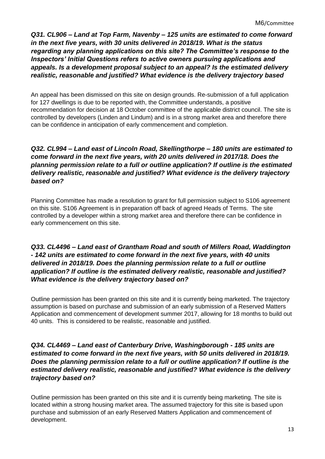*Q31. CL906 – Land at Top Farm, Navenby – 125 units are estimated to come forward in the next five years, with 30 units delivered in 2018/19. What is the status regarding any planning applications on this site? The Committee's response to the Inspectors' Initial Questions refers to active owners pursuing applications and appeals. Is a development proposal subject to an appeal? Is the estimated delivery realistic, reasonable and justified? What evidence is the delivery trajectory based* 

An appeal has been dismissed on this site on design grounds. Re-submission of a full application for 127 dwellings is due to be reported with, the Committee understands, a positive recommendation for decision at 18 October committee of the applicable district council. The site is controlled by developers (Linden and Lindum) and is in a strong market area and therefore there can be confidence in anticipation of early commencement and completion.

# *Q32. CL994 – Land east of Lincoln Road, Skellingthorpe – 180 units are estimated to come forward in the next five years, with 20 units delivered in 2017/18. Does the planning permission relate to a full or outline application? If outline is the estimated delivery realistic, reasonable and justified? What evidence is the delivery trajectory based on?*

Planning Committee has made a resolution to grant for full permission subject to S106 agreement on this site. S106 Agreement is in preparation off back of agreed Heads of Terms. The site controlled by a developer within a strong market area and therefore there can be confidence in early commencement on this site.

#### *Q33. CL4496 – Land east of Grantham Road and south of Millers Road, Waddington - 142 units are estimated to come forward in the next five years, with 40 units delivered in 2018/19. Does the planning permission relate to a full or outline application? If outline is the estimated delivery realistic, reasonable and justified? What evidence is the delivery trajectory based on?*

Outline permission has been granted on this site and it is currently being marketed. The trajectory assumption is based on purchase and submission of an early submission of a Reserved Matters Application and commencement of development summer 2017, allowing for 18 months to build out 40 units. This is considered to be realistic, reasonable and justified.

# *Q34. CL4469 – Land east of Canterbury Drive, Washingborough - 185 units are estimated to come forward in the next five years, with 50 units delivered in 2018/19. Does the planning permission relate to a full or outline application? If outline is the estimated delivery realistic, reasonable and justified? What evidence is the delivery trajectory based on?*

Outline permission has been granted on this site and it is currently being marketing. The site is located within a strong housing market area. The assumed trajectory for this site is based upon purchase and submission of an early Reserved Matters Application and commencement of development.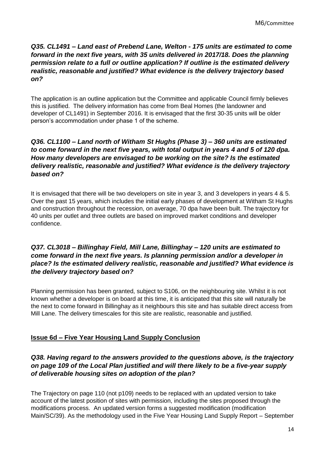*Q35. CL1491 – Land east of Prebend Lane, Welton - 175 units are estimated to come forward in the next five years, with 35 units delivered in 2017/18. Does the planning permission relate to a full or outline application? If outline is the estimated delivery realistic, reasonable and justified? What evidence is the delivery trajectory based on?*

The application is an outline application but the Committee and applicable Council firmly believes this is justified. The delivery information has come from Beal Homes (the landowner and developer of CL1491) in September 2016. It is envisaged that the first 30-35 units will be older person's accommodation under phase 1 of the scheme.

# *Q36. CL1100 – Land north of Witham St Hughs (Phase 3) – 360 units are estimated to come forward in the next five years, with total output in years 4 and 5 of 120 dpa. How many developers are envisaged to be working on the site? Is the estimated delivery realistic, reasonable and justified? What evidence is the delivery trajectory based on?*

It is envisaged that there will be two developers on site in year 3, and 3 developers in years 4 & 5. Over the past 15 years, which includes the initial early phases of development at Witham St Hughs and construction throughout the recession, on average, 70 dpa have been built. The trajectory for 40 units per outlet and three outlets are based on improved market conditions and developer confidence.

### *Q37. CL3018 – Billinghay Field, Mill Lane, Billinghay – 120 units are estimated to come forward in the next five years. Is planning permission and/or a developer in place? Is the estimated delivery realistic, reasonable and justified? What evidence is the delivery trajectory based on?*

Planning permission has been granted, subject to S106, on the neighbouring site. Whilst it is not known whether a developer is on board at this time, it is anticipated that this site will naturally be the next to come forward in Billinghay as it neighbours this site and has suitable direct access from Mill Lane. The delivery timescales for this site are realistic, reasonable and justified.

# **Issue 6d – Five Year Housing Land Supply Conclusion**

# *Q38. Having regard to the answers provided to the questions above, is the trajectory on page 109 of the Local Plan justified and will there likely to be a five-year supply of deliverable housing sites on adoption of the plan?*

The Trajectory on page 110 (not p109) needs to be replaced with an updated version to take account of the latest position of sites with permission, including the sites proposed through the modifications process. An updated version forms a suggested modification (modification Main/SC/39). As the methodology used in the Five Year Housing Land Supply Report – September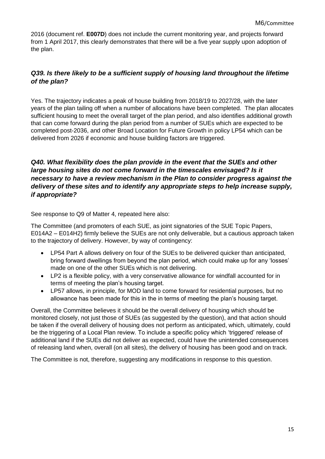2016 (document ref. **E007D**) does not include the current monitoring year, and projects forward from 1 April 2017, this clearly demonstrates that there will be a five year supply upon adoption of the plan.

### *Q39. Is there likely to be a sufficient supply of housing land throughout the lifetime of the plan?*

Yes. The trajectory indicates a peak of house building from 2018/19 to 2027/28, with the later years of the plan tailing off when a number of allocations have been completed. The plan allocates sufficient housing to meet the overall target of the plan period, and also identifies additional growth that can come forward during the plan period from a number of SUEs which are expected to be completed post-2036, and other Broad Location for Future Growth in policy LP54 which can be delivered from 2026 if economic and house building factors are triggered.

### *Q40. What flexibility does the plan provide in the event that the SUEs and other large housing sites do not come forward in the timescales envisaged? Is it necessary to have a review mechanism in the Plan to consider progress against the delivery of these sites and to identify any appropriate steps to help increase supply, if appropriate?*

See response to Q9 of Matter 4, repeated here also:

The Committee (and promoters of each SUE, as joint signatories of the SUE Topic Papers, E014A2 – E014H2) firmly believe the SUEs are not only deliverable, but a cautious approach taken to the trajectory of delivery. However, by way of contingency:

- LP54 Part A allows delivery on four of the SUEs to be delivered quicker than anticipated, bring forward dwellings from beyond the plan period, which could make up for any 'losses' made on one of the other SUEs which is not delivering.
- LP2 is a flexible policy, with a very conservative allowance for windfall accounted for in terms of meeting the plan's housing target.
- LP57 allows, in principle, for MOD land to come forward for residential purposes, but no allowance has been made for this in the in terms of meeting the plan's housing target.

Overall, the Committee believes it should be the overall delivery of housing which should be monitored closely, not just those of SUEs (as suggested by the question), and that action should be taken if the overall delivery of housing does not perform as anticipated, which, ultimately, could be the triggering of a Local Plan review. To include a specific policy which 'triggered' release of additional land if the SUEs did not deliver as expected, could have the unintended consequences of releasing land when, overall (on all sites), the delivery of housing has been good and on track.

The Committee is not, therefore, suggesting any modifications in response to this question.